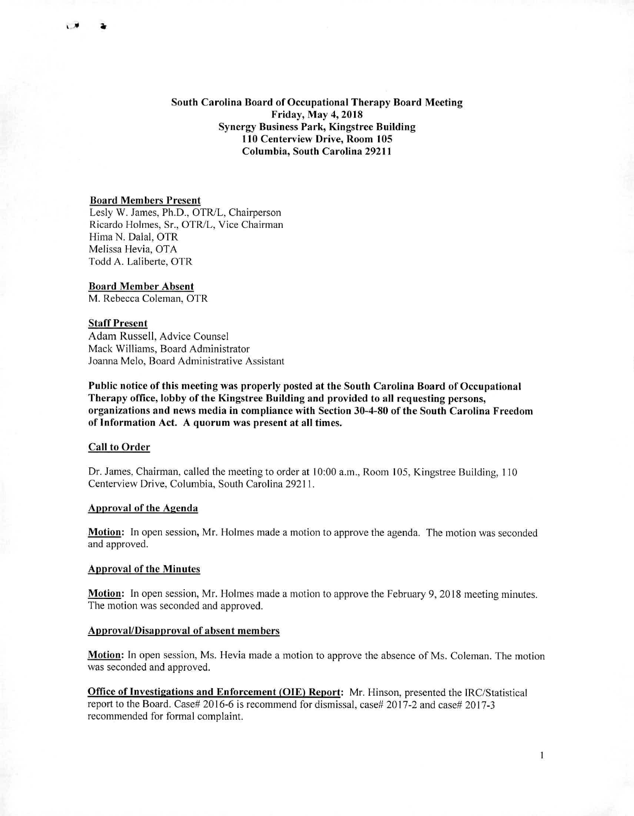# South Carolina Board of Occupational Therapy Board Meeting Friday, May 4, 2018 Synergy Business Park, Kingstree Building 110 Centerview Drive, Room 105 Columbia, South Carolina 29211

### Board Members Present

Lesly W. James, Ph.D., OTR/L, Chairperson Ricardo Holmes, Sr., OTR/L, Vice Chairman Hima N. Dalai, OTR Melissa Hevia, OTA Todd A. Laliberte, OTR

Board Member Absent M. Rebecca Coleman, OTR

## Staff Present

 $\overline{1}$ 

Adam Russell, Advice Counsel Mack Williams, Board Administrator Joanna Melo, Board Administrative Assistant

Public notice of this meeting was properly posted at the South Carolina Board of Occupational Therapy office, lobby of the Kingstree Building and provided to all requesting persons, organizations and news media in compliance with Section 30-4-80 of the South Carolina Freedom of Information Act. A quorum was present at all times.

## Call to Order

Dr. James, Chairman, called the meeting to order at 10:00 a.m., Room 105, Kingstree Building, 110 Centerview Drive, Columbia, South Carolina 29211.

### Approval of the Agenda

Motion: In open session, Mr. Holmes made a motion to approve the agenda. The motion was seconded and approved.

#### Approval of the Minutes

Motion: In open session, Mr. Holmes made a motion to approve the February 9, 2018 meeting minutes. The motion was seconded and approved.

## Approval/Disapproval of absent members

Motion: In open session, Ms. Hevia made a motion to approve the absence of Ms. Coleman. The motion was seconded and approved.

**Office of Investigations and Enforcement (OIE) Report:** Mr. Hinson, presented the IRC/Statistical report to the Board. Case# 2016-6 is recommend for dismissal, case# 2017-2 and case# 2017-3 recommended for formal complaint.

1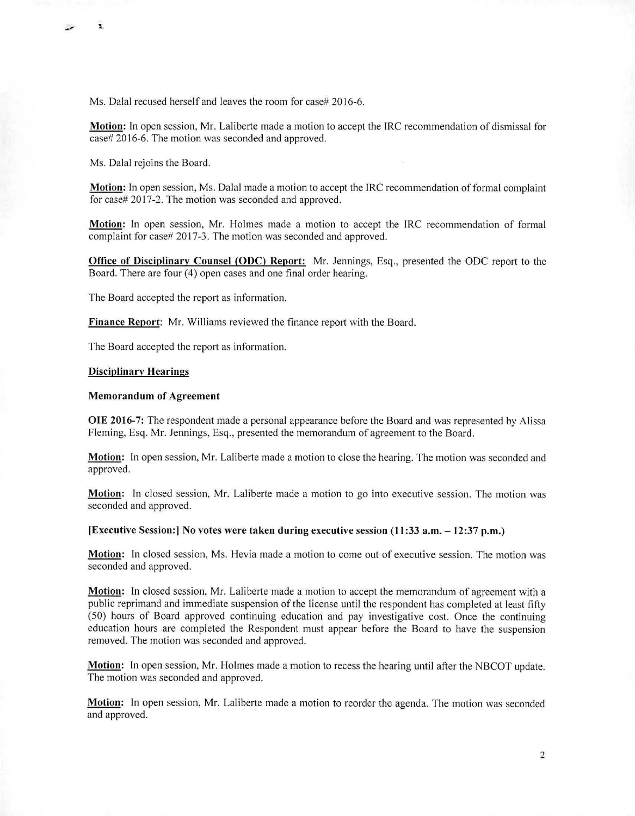Ms. Dalal recused herself and leaves the room for case# 2016-6.

**Motion:** In open session, Mr. Laliberte made a motion to accept the **IRC** recommendation of dismissal for case# 2016-6. The motion was seconded and approved.

Ms. Dalal rejoins the Board.

**Motion:** In open session, Ms. Dalai made a motion to accept the IRC recommendation of formal complaint for case# 2017-2. The motion was seconded and approved.

**Motion:** In open session, Mr. Holmes made a motion to accept the IRC recommendation of formal complaint for case# 2017-3. The motion was seconded and approved.

**Office of Disciplinary Counsel (ODC) Report:** Mr. Jennings, Esq., presented the ODC report to the Board. There are four (4) open cases and one final order hearing.

The Board accepted the report as information.

**Finance Report:** Mr. Williams reviewed the finance report with the Board.

The Board accepted the report as information.

## **Disciplinary Hearings**

## **Memorandum of Agreement**

**OIE 2016-7:** The respondent made a personal appearance before the Board and was represented by Alissa Fleming, Esq. Mr. Jennings, Esq., presented the memorandum of agreement to the Board.

**Motion:** In open session, Mr. Laliberte made a motion to close the hearing. The motion was seconded and approved.

**Motion:** In closed session, Mr. Laliberte made a motion to go into executive session. The motion was seconded and approved.

**[Executive Session:] No votes were taken during executive session (11:33 a.m. — 12:37 p.m.)** 

**Motion:** In closed session, Ms. Hevia made a motion to come out of executive session. The motion was seconded and approved.

**Motion:** In closed session, Mr. Laliberte made a motion to accept the memorandum of agreement with a public reprimand and immediate suspension of the license until the respondent has completed at least fifty (50) hours of Board approved continuing education and pay investigative cost. Once the continuing education hours are completed the Respondent must appear before the Board to have the suspension removed. The motion was seconded and approved.

**Motion:** In open session, Mr. Holmes made a motion to recess the hearing until after the NBCOT update. The motion was seconded and approved.

**Motion:** In open session, Mr. Laliberte made a motion to reorder the agenda. The motion was seconded and approved.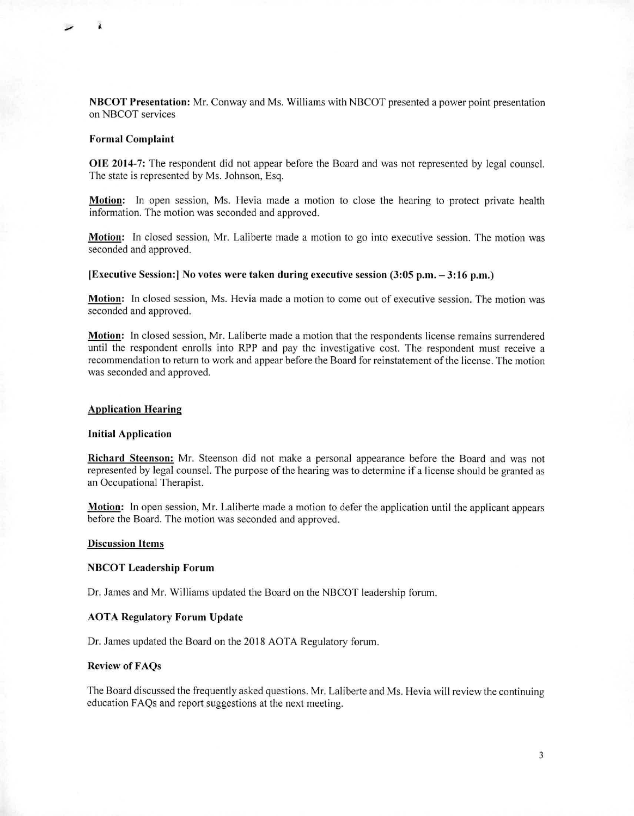NBCOT Presentation: Mr. Conway and Ms. Williams with NBCOT presented a power point presentation on NBCOT services

### **Formal Complaint**

 $\lambda$ 

**OIE 2014-7:** The respondent did not appear before the Board and was not represented by legal counsel. The state is represented by Ms. Johnson, Esq.

**Motion:** In open session, Ms. Hevia made a motion to close the hearing to protect private health information. The motion was seconded and approved.

**Motion:** In closed session, Mr. Laliberte made a motion to go into executive session. The motion was seconded and approved.

#### **[Executive Session:1 No** votes **were taken during executive session (3:05 p.m. — 3:16 p.m.)**

**Motion:** In closed session, Ms. Hevia made a motion to come out of executive session. The motion was seconded and approved.

**Motion:** In closed session, Mr. Laliberte made a motion that the respondents license remains surrendered until the respondent enrolls into RPP and pay the investigative cost. The respondent must receive a recommendation to return to work and appear before the Board for reinstatement of the license. The motion was seconded and approved.

# **Application Hearing**

# **Initial Application**

**Richard Steenson:** Mr. Steenson did not make a personal appearance before the Board and was not represented by legal counsel. The purpose of the hearing was to determine if a license should be granted as an Occupational Therapist.

**Motion:** In open session, Mr. Laliberte made a motion to defer the application until the applicant appears before the Board. The motion was seconded and approved.

# **Discussion Items**

### **NBCOT Leadership Forum**

Dr. James and Mr. Williams updated the Board on the NBCOT leadership forum.

#### **AOTA Regulatory Forum Update**

Dr. James updated the Board on the 2018 AOTA Regulatory forum.

# **Review of FAQs**

The Board discussed the frequently asked questions. Mr. Laliberte and Ms. Hevia will review the continuing education FAQs and report suggestions at the next meeting.